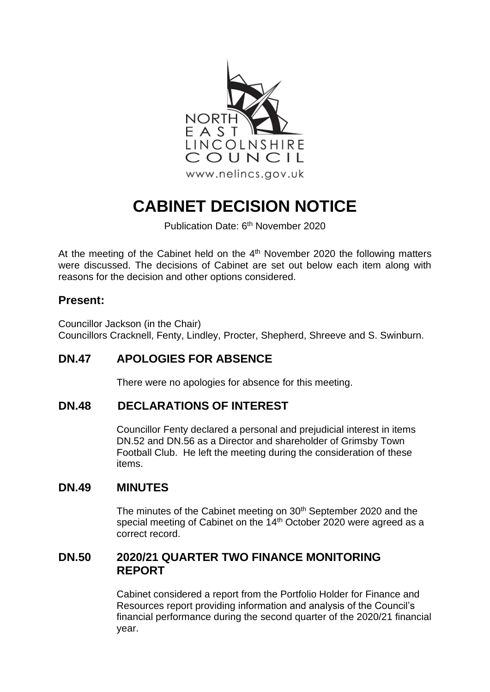

# **CABINET DECISION NOTICE**

Publication Date: 6<sup>th</sup> November 2020

At the meeting of the Cabinet held on the 4<sup>th</sup> November 2020 the following matters were discussed. The decisions of Cabinet are set out below each item along with reasons for the decision and other options considered.

## **Present:**

Councillor Jackson (in the Chair)

Councillors Cracknell, Fenty, Lindley, Procter, Shepherd, Shreeve and S. Swinburn.

# **DN.47 APOLOGIES FOR ABSENCE**

There were no apologies for absence for this meeting.

# **DN.48 DECLARATIONS OF INTEREST**

Councillor Fenty declared a personal and prejudicial interest in items DN.52 and DN.56 as a Director and shareholder of Grimsby Town Football Club. He left the meeting during the consideration of these items.

# **DN.49 MINUTES**

The minutes of the Cabinet meeting on 30<sup>th</sup> September 2020 and the special meeting of Cabinet on the 14<sup>th</sup> October 2020 were agreed as a correct record.

# **DN.50 2020/21 QUARTER TWO FINANCE MONITORING REPORT**

Cabinet considered a report from the Portfolio Holder for Finance and Resources report providing information and analysis of the Council's financial performance during the second quarter of the 2020/21 financial year.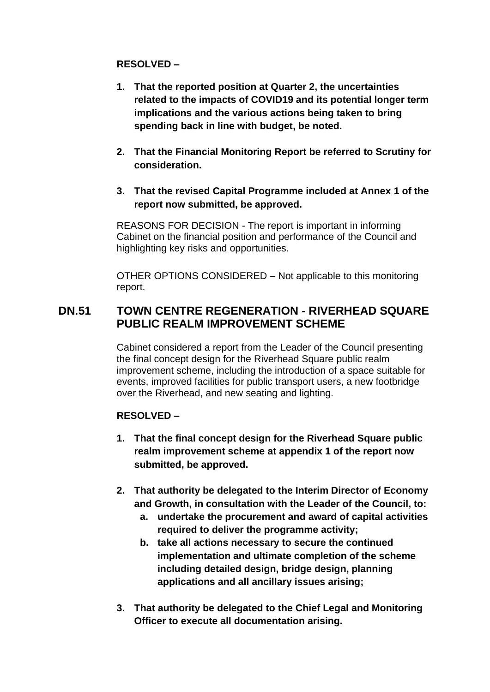#### **RESOLVED –**

- **1. That the reported position at Quarter 2, the uncertainties related to the impacts of COVID19 and its potential longer term implications and the various actions being taken to bring spending back in line with budget, be noted.**
- **2. That the Financial Monitoring Report be referred to Scrutiny for consideration.**
- **3. That the revised Capital Programme included at Annex 1 of the report now submitted, be approved.**

REASONS FOR DECISION - The report is important in informing Cabinet on the financial position and performance of the Council and highlighting key risks and opportunities.

OTHER OPTIONS CONSIDERED – Not applicable to this monitoring report.

# **DN.51 TOWN CENTRE REGENERATION - RIVERHEAD SQUARE PUBLIC REALM IMPROVEMENT SCHEME**

Cabinet considered a report from the Leader of the Council presenting the final concept design for the Riverhead Square public realm improvement scheme, including the introduction of a space suitable for events, improved facilities for public transport users, a new footbridge over the Riverhead, and new seating and lighting.

### **RESOLVED –**

- **1. That the final concept design for the Riverhead Square public realm improvement scheme at appendix 1 of the report now submitted, be approved.**
- **2. That authority be delegated to the Interim Director of Economy and Growth, in consultation with the Leader of the Council, to:**
	- **a. undertake the procurement and award of capital activities required to deliver the programme activity;**
	- **b. take all actions necessary to secure the continued implementation and ultimate completion of the scheme including detailed design, bridge design, planning applications and all ancillary issues arising;**
- **3. That authority be delegated to the Chief Legal and Monitoring Officer to execute all documentation arising.**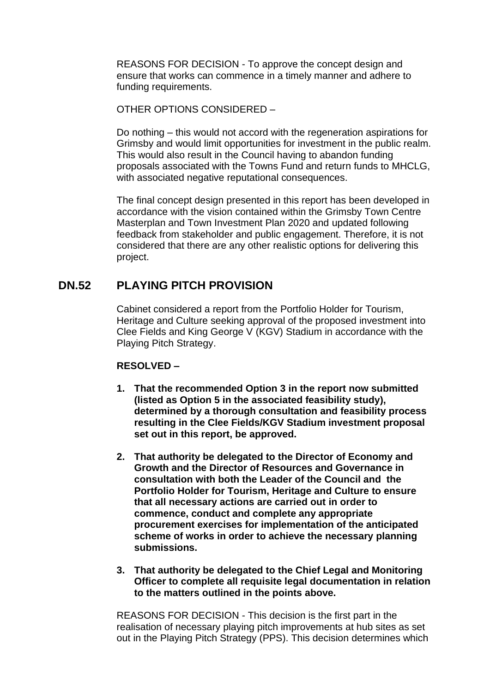REASONS FOR DECISION - To approve the concept design and ensure that works can commence in a timely manner and adhere to funding requirements.

OTHER OPTIONS CONSIDERED –

Do nothing – this would not accord with the regeneration aspirations for Grimsby and would limit opportunities for investment in the public realm. This would also result in the Council having to abandon funding proposals associated with the Towns Fund and return funds to MHCLG, with associated negative reputational consequences.

The final concept design presented in this report has been developed in accordance with the vision contained within the Grimsby Town Centre Masterplan and Town Investment Plan 2020 and updated following feedback from stakeholder and public engagement. Therefore, it is not considered that there are any other realistic options for delivering this project.

# **DN.52 PLAYING PITCH PROVISION**

Cabinet considered a report from the Portfolio Holder for Tourism, Heritage and Culture seeking approval of the proposed investment into Clee Fields and King George V (KGV) Stadium in accordance with the Playing Pitch Strategy.

#### **RESOLVED –**

- **1. That the recommended Option 3 in the report now submitted (listed as Option 5 in the associated feasibility study), determined by a thorough consultation and feasibility process resulting in the Clee Fields/KGV Stadium investment proposal set out in this report, be approved.**
- **2. That authority be delegated to the Director of Economy and Growth and the Director of Resources and Governance in consultation with both the Leader of the Council and the Portfolio Holder for Tourism, Heritage and Culture to ensure that all necessary actions are carried out in order to commence, conduct and complete any appropriate procurement exercises for implementation of the anticipated scheme of works in order to achieve the necessary planning submissions.**
- **3. That authority be delegated to the Chief Legal and Monitoring Officer to complete all requisite legal documentation in relation to the matters outlined in the points above.**

REASONS FOR DECISION - This decision is the first part in the realisation of necessary playing pitch improvements at hub sites as set out in the Playing Pitch Strategy (PPS). This decision determines which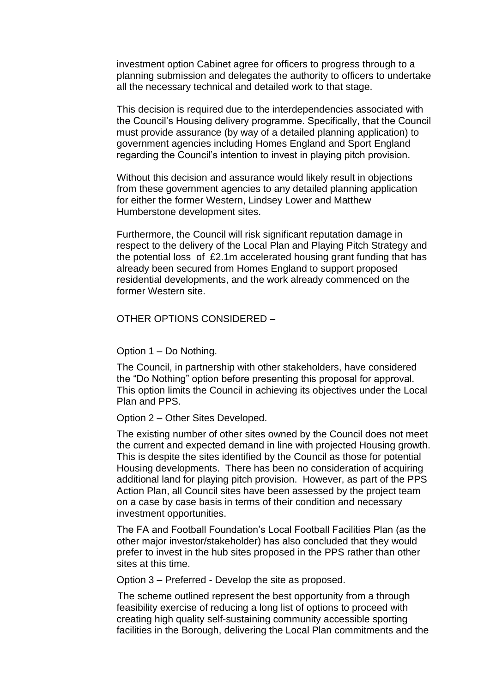investment option Cabinet agree for officers to progress through to a planning submission and delegates the authority to officers to undertake all the necessary technical and detailed work to that stage.

This decision is required due to the interdependencies associated with the Council's Housing delivery programme. Specifically, that the Council must provide assurance (by way of a detailed planning application) to government agencies including Homes England and Sport England regarding the Council's intention to invest in playing pitch provision.

Without this decision and assurance would likely result in objections from these government agencies to any detailed planning application for either the former Western, Lindsey Lower and Matthew Humberstone development sites.

Furthermore, the Council will risk significant reputation damage in respect to the delivery of the Local Plan and Playing Pitch Strategy and the potential loss of £2.1m accelerated housing grant funding that has already been secured from Homes England to support proposed residential developments, and the work already commenced on the former Western site.

#### OTHER OPTIONS CONSIDERED –

Option 1 – Do Nothing.

The Council, in partnership with other stakeholders, have considered the "Do Nothing" option before presenting this proposal for approval. This option limits the Council in achieving its objectives under the Local Plan and PPS.

Option 2 – Other Sites Developed.

The existing number of other sites owned by the Council does not meet the current and expected demand in line with projected Housing growth. This is despite the sites identified by the Council as those for potential Housing developments. There has been no consideration of acquiring additional land for playing pitch provision. However, as part of the PPS Action Plan, all Council sites have been assessed by the project team on a case by case basis in terms of their condition and necessary investment opportunities.

The FA and Football Foundation's Local Football Facilities Plan (as the other major investor/stakeholder) has also concluded that they would prefer to invest in the hub sites proposed in the PPS rather than other sites at this time.

Option 3 – Preferred - Develop the site as proposed.

The scheme outlined represent the best opportunity from a through feasibility exercise of reducing a long list of options to proceed with creating high quality self-sustaining community accessible sporting facilities in the Borough, delivering the Local Plan commitments and the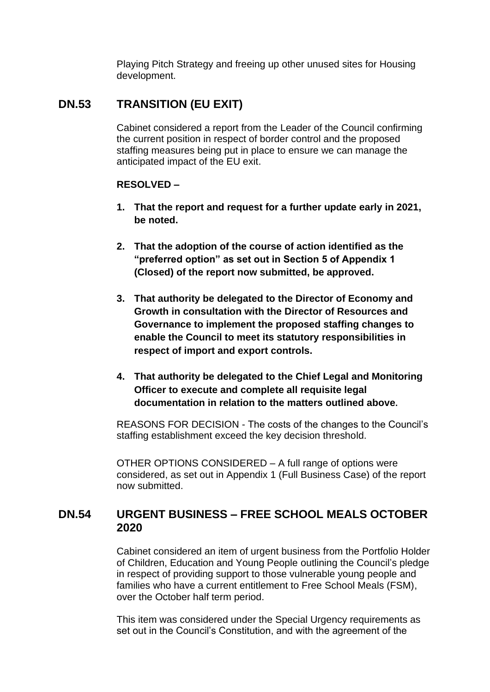Playing Pitch Strategy and freeing up other unused sites for Housing development.

# **DN.53 TRANSITION (EU EXIT)**

Cabinet considered a report from the Leader of the Council confirming the current position in respect of border control and the proposed staffing measures being put in place to ensure we can manage the anticipated impact of the EU exit.

#### **RESOLVED –**

- **1. That the report and request for a further update early in 2021, be noted.**
- **2. That the adoption of the course of action identified as the "preferred option" as set out in Section 5 of Appendix 1 (Closed) of the report now submitted, be approved.**
- **3. That authority be delegated to the Director of Economy and Growth in consultation with the Director of Resources and Governance to implement the proposed staffing changes to enable the Council to meet its statutory responsibilities in respect of import and export controls.**
- **4. That authority be delegated to the Chief Legal and Monitoring Officer to execute and complete all requisite legal documentation in relation to the matters outlined above.**

REASONS FOR DECISION - The costs of the changes to the Council's staffing establishment exceed the key decision threshold.

OTHER OPTIONS CONSIDERED – A full range of options were considered, as set out in Appendix 1 (Full Business Case) of the report now submitted.

# **DN.54 URGENT BUSINESS – FREE SCHOOL MEALS OCTOBER 2020**

Cabinet considered an item of urgent business from the Portfolio Holder of Children, Education and Young People outlining the Council's pledge in respect of providing support to those vulnerable young people and families who have a current entitlement to Free School Meals (FSM), over the October half term period.

This item was considered under the Special Urgency requirements as set out in the Council's Constitution, and with the agreement of the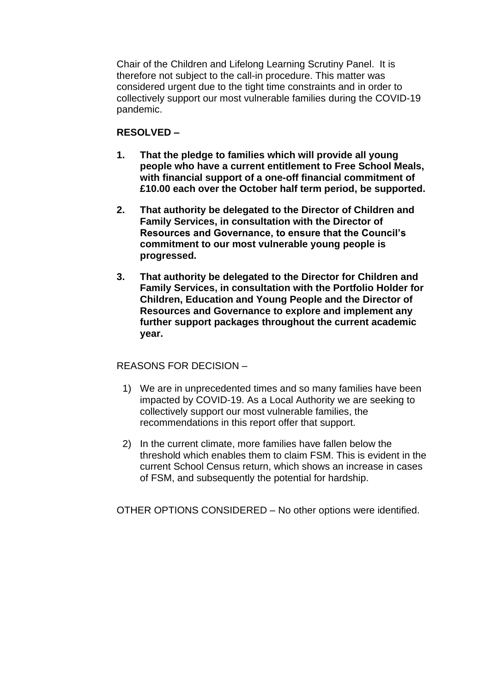Chair of the Children and Lifelong Learning Scrutiny Panel. It is therefore not subject to the call-in procedure. This matter was considered urgent due to the tight time constraints and in order to collectively support our most vulnerable families during the COVID-19 pandemic.

#### **RESOLVED –**

- **1. That the pledge to families which will provide all young people who have a current entitlement to Free School Meals, with financial support of a one-off financial commitment of £10.00 each over the October half term period, be supported.**
- **2. That authority be delegated to the Director of Children and Family Services, in consultation with the Director of Resources and Governance, to ensure that the Council's commitment to our most vulnerable young people is progressed.**
- **3. That authority be delegated to the Director for Children and Family Services, in consultation with the Portfolio Holder for Children, Education and Young People and the Director of Resources and Governance to explore and implement any further support packages throughout the current academic year.**

### REASONS FOR DECISION –

- 1) We are in unprecedented times and so many families have been impacted by COVID-19. As a Local Authority we are seeking to collectively support our most vulnerable families, the recommendations in this report offer that support.
- 2) In the current climate, more families have fallen below the threshold which enables them to claim FSM. This is evident in the current School Census return, which shows an increase in cases of FSM, and subsequently the potential for hardship.

OTHER OPTIONS CONSIDERED – No other options were identified.